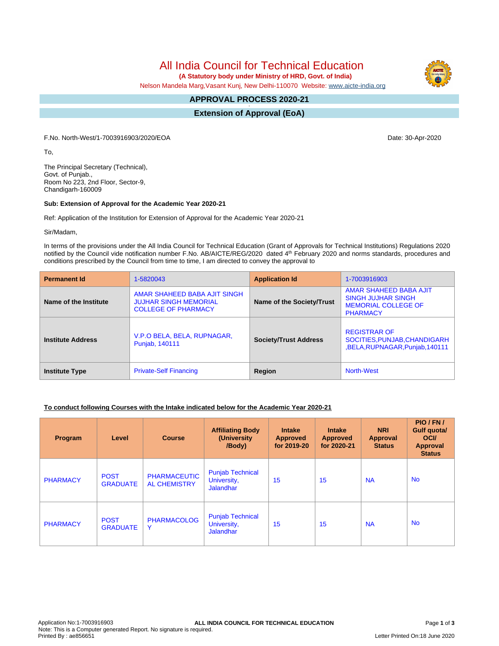# All India Council for Technical Education

 **(A Statutory body under Ministry of HRD, Govt. of India)**

Nelson Mandela Marg,Vasant Kunj, New Delhi-110070 Website: [www.aicte-india.org](http://www.aicte-india.org)

#### **APPROVAL PROCESS 2020-21 -**

**Extension of Approval (EoA)**

F.No. North-West/1-7003916903/2020/EOA Date: 30-Apr-2020

To,

The Principal Secretary (Technical), Govt. of Punjab., Room No 223, 2nd Floor, Sector-9, Chandigarh-160009

#### **Sub: Extension of Approval for the Academic Year 2020-21**

Ref: Application of the Institution for Extension of Approval for the Academic Year 2020-21

Sir/Madam,

In terms of the provisions under the All India Council for Technical Education (Grant of Approvals for Technical Institutions) Regulations 2020 notified by the Council vide notification number F.No. AB/AICTE/REG/2020 dated 4<sup>th</sup> February 2020 and norms standards, procedures and conditions prescribed by the Council from time to time, I am directed to convey the approval to

| <b>Permanent Id</b>      | 1-5820043                                                                                  | <b>Application Id</b>        | 1-7003916903                                                                                         |  |
|--------------------------|--------------------------------------------------------------------------------------------|------------------------------|------------------------------------------------------------------------------------------------------|--|
| Name of the Institute    | AMAR SHAHEED BABA AJIT SINGH<br><b>JUJHAR SINGH MEMORIAL</b><br><b>COLLEGE OF PHARMACY</b> | Name of the Society/Trust    | AMAR SHAHEED BABA AJIT<br><b>SINGH JUJHAR SINGH</b><br><b>MEMORIAL COLLEGE OF</b><br><b>PHARMACY</b> |  |
| <b>Institute Address</b> | V.P.O BELA, BELA, RUPNAGAR,<br>Punjab, 140111                                              | <b>Society/Trust Address</b> | <b>REGISTRAR OF</b><br>SOCITIES, PUNJAB, CHANDIGARH<br>,BELA,RUPNAGAR,Punjab,140111                  |  |
| <b>Institute Type</b>    | <b>Private-Self Financing</b>                                                              | Region                       | <b>North-West</b>                                                                                    |  |

#### **To conduct following Courses with the Intake indicated below for the Academic Year 2020-21**

| Program         | Level                          | <b>Course</b>                              | <b>Affiliating Body</b><br>(University<br>/Body)           | <b>Intake</b><br><b>Approved</b><br>for 2019-20 | <b>Intake</b><br><b>Approved</b><br>for 2020-21 | <b>NRI</b><br>Approval<br><b>Status</b> | PIO/FN/<br>Gulf quota/<br><b>OCI</b><br>Approval<br><b>Status</b> |
|-----------------|--------------------------------|--------------------------------------------|------------------------------------------------------------|-------------------------------------------------|-------------------------------------------------|-----------------------------------------|-------------------------------------------------------------------|
| <b>PHARMACY</b> | <b>POST</b><br><b>GRADUATE</b> | <b>PHARMACEUTIC</b><br><b>AL CHEMISTRY</b> | <b>Punjab Technical</b><br>University,<br>Jalandhar        | 15                                              | 15                                              | <b>NA</b>                               | <b>No</b>                                                         |
| <b>PHARMACY</b> | <b>POST</b><br><b>GRADUATE</b> | <b>PHARMACOLOG</b><br>Y                    | <b>Punjab Technical</b><br>University,<br><b>Jalandhar</b> | 15                                              | 15                                              | <b>NA</b>                               | <b>No</b>                                                         |

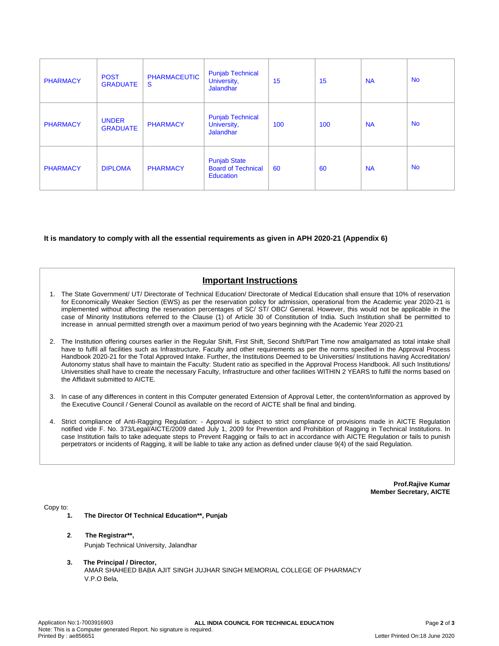| <b>PHARMACY</b> | <b>POST</b><br><b>GRADUATE</b>  | <b>PHARMACEUTIC</b><br>S | <b>Punjab Technical</b><br>University,<br><b>Jalandhar</b>           | 15  | 15  | <b>NA</b> | <b>No</b> |
|-----------------|---------------------------------|--------------------------|----------------------------------------------------------------------|-----|-----|-----------|-----------|
| <b>PHARMACY</b> | <b>UNDER</b><br><b>GRADUATE</b> | <b>PHARMACY</b>          | <b>Punjab Technical</b><br>University,<br><b>Jalandhar</b>           | 100 | 100 | <b>NA</b> | <b>No</b> |
| <b>PHARMACY</b> | <b>DIPLOMA</b>                  | <b>PHARMACY</b>          | <b>Punjab State</b><br><b>Board of Technical</b><br><b>Education</b> | 60  | 60  | <b>NA</b> | <b>No</b> |

#### **It is mandatory to comply with all the essential requirements as given in APH 2020-21 (Appendix 6)**

## **Important Instructions**

- 1. The State Government/ UT/ Directorate of Technical Education/ Directorate of Medical Education shall ensure that 10% of reservation for Economically Weaker Section (EWS) as per the reservation policy for admission, operational from the Academic year 2020-21 is implemented without affecting the reservation percentages of SC/ ST/ OBC/ General. However, this would not be applicable in the case of Minority Institutions referred to the Clause (1) of Article 30 of Constitution of India. Such Institution shall be permitted to increase in annual permitted strength over a maximum period of two years beginning with the Academic Year 2020-21
- 2. The Institution offering courses earlier in the Regular Shift, First Shift, Second Shift/Part Time now amalgamated as total intake shall have to fulfil all facilities such as Infrastructure, Faculty and other requirements as per the norms specified in the Approval Process Handbook 2020-21 for the Total Approved Intake. Further, the Institutions Deemed to be Universities/ Institutions having Accreditation/ Autonomy status shall have to maintain the Faculty: Student ratio as specified in the Approval Process Handbook. All such Institutions/ Universities shall have to create the necessary Faculty, Infrastructure and other facilities WITHIN 2 YEARS to fulfil the norms based on the Affidavit submitted to AICTE.
- 3. In case of any differences in content in this Computer generated Extension of Approval Letter, the content/information as approved by the Executive Council / General Council as available on the record of AICTE shall be final and binding.
- 4. Strict compliance of Anti-Ragging Regulation: Approval is subject to strict compliance of provisions made in AICTE Regulation notified vide F. No. 373/Legal/AICTE/2009 dated July 1, 2009 for Prevention and Prohibition of Ragging in Technical Institutions. In case Institution fails to take adequate steps to Prevent Ragging or fails to act in accordance with AICTE Regulation or fails to punish perpetrators or incidents of Ragging, it will be liable to take any action as defined under clause 9(4) of the said Regulation.

**Prof.Rajive Kumar Member Secretary, AICTE**

Copy to:

- **1. The Director Of Technical Education\*\*, Punjab**
- **2**. **The Registrar\*\*,** Punjab Technical University, Jalandhar
- **3. The Principal / Director,** AMAR SHAHEED BABA AJIT SINGH JUJHAR SINGH MEMORIAL COLLEGE OF PHARMACY V.P.O Bela,